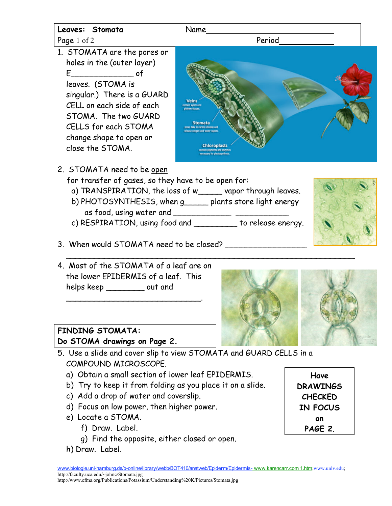

- 5. Use a slide and cover slip to view STOMATA and GUARD CELLS in a COMPOUND MICROSCOPE.
	- a) Obtain a small section of lower leaf EPIDERMIS.
	- b) Try to keep it from folding as you place it on a slide.
	- c) Add a drop of water and coverslip.
	- d) Focus on low power, then higher power.
	- e) Locate a STOMA.
		- f) Draw. Label.
		- g) Find the opposite, either closed or open.
	- h) Draw. Label.

**Have DRAWINGS CHECKED IN FOCUS on PAGE 2**.